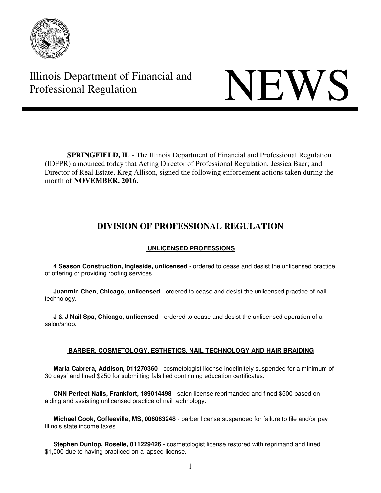

Illinois Department of Financial and THE Professional Regulation NEWS

**SPRINGFIELD, IL** - The Illinois Department of Financial and Professional Regulation (IDFPR) announced today that Acting Director of Professional Regulation, Jessica Baer; and Director of Real Estate, Kreg Allison, signed the following enforcement actions taken during the month of **NOVEMBER, 2016.** 

# **DIVISION OF PROFESSIONAL REGULATION**

# **UNLICENSED PROFESSIONS**

 **4 Season Construction, Ingleside, unlicensed** - ordered to cease and desist the unlicensed practice of offering or providing roofing services.

 **Juanmin Chen, Chicago, unlicensed** - ordered to cease and desist the unlicensed practice of nail technology.

 **J & J Nail Spa, Chicago, unlicensed** - ordered to cease and desist the unlicensed operation of a salon/shop.

# **BARBER, COSMETOLOGY, ESTHETICS, NAIL TECHNOLOGY AND HAIR BRAIDING**

 **Maria Cabrera, Addison, 011270360** - cosmetologist license indefinitely suspended for a minimum of 30 days' and fined \$250 for submitting falsified continuing education certificates.

 **CNN Perfect Nails, Frankfort, 189014498** - salon license reprimanded and fined \$500 based on aiding and assisting unlicensed practice of nail technology.

 **Michael Cook, Coffeeville, MS, 006063248** - barber license suspended for failure to file and/or pay Illinois state income taxes.

 **Stephen Dunlop, Roselle, 011229426** - cosmetologist license restored with reprimand and fined \$1,000 due to having practiced on a lapsed license.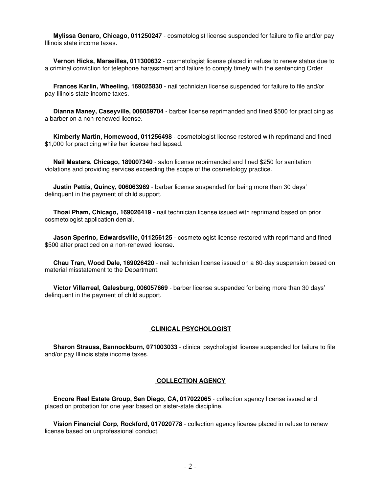**Mylissa Genaro, Chicago, 011250247** - cosmetologist license suspended for failure to file and/or pay Illinois state income taxes.

 **Vernon Hicks, Marseilles, 011300632** - cosmetologist license placed in refuse to renew status due to a criminal conviction for telephone harassment and failure to comply timely with the sentencing Order.

 **Frances Karlin, Wheeling, 169025830** - nail technician license suspended for failure to file and/or pay Illinois state income taxes.

 **Dianna Maney, Caseyville, 006059704** - barber license reprimanded and fined \$500 for practicing as a barber on a non-renewed license.

 **Kimberly Martin, Homewood, 011256498** - cosmetologist license restored with reprimand and fined \$1,000 for practicing while her license had lapsed.

 **Nail Masters, Chicago, 189007340** - salon license reprimanded and fined \$250 for sanitation violations and providing services exceeding the scope of the cosmetology practice.

 **Justin Pettis, Quincy, 006063969** - barber license suspended for being more than 30 days' delinquent in the payment of child support.

 **Thoai Pham, Chicago, 169026419** - nail technician license issued with reprimand based on prior cosmetologist application denial.

 **Jason Sperino, Edwardsville, 011256125** - cosmetologist license restored with reprimand and fined \$500 after practiced on a non-renewed license.

 **Chau Tran, Wood Dale, 169026420** - nail technician license issued on a 60-day suspension based on material misstatement to the Department.

 **Victor Villarreal, Galesburg, 006057669** - barber license suspended for being more than 30 days' delinquent in the payment of child support.

#### **CLINICAL PSYCHOLOGIST**

 **Sharon Strauss, Bannockburn, 071003033** - clinical psychologist license suspended for failure to file and/or pay Illinois state income taxes.

#### **COLLECTION AGENCY**

 **Encore Real Estate Group, San Diego, CA, 017022065** - collection agency license issued and placed on probation for one year based on sister-state discipline.

 **Vision Financial Corp, Rockford, 017020778** - collection agency license placed in refuse to renew license based on unprofessional conduct.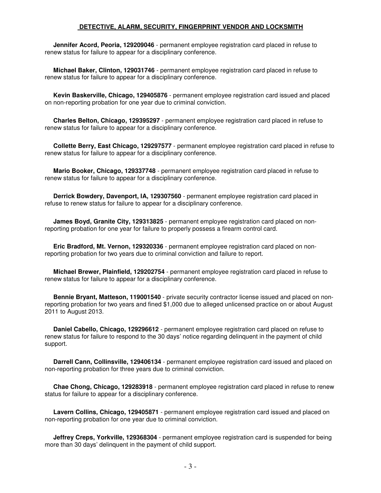### **DETECTIVE, ALARM, SECURITY, FINGERPRINT VENDOR AND LOCKSMITH**

 **Jennifer Acord, Peoria, 129209046** - permanent employee registration card placed in refuse to renew status for failure to appear for a disciplinary conference.

 **Michael Baker, Clinton, 129031746** - permanent employee registration card placed in refuse to renew status for failure to appear for a disciplinary conference.

 **Kevin Baskerville, Chicago, 129405876** - permanent employee registration card issued and placed on non-reporting probation for one year due to criminal conviction.

 **Charles Belton, Chicago, 129395297** - permanent employee registration card placed in refuse to renew status for failure to appear for a disciplinary conference.

 **Collette Berry, East Chicago, 129297577** - permanent employee registration card placed in refuse to renew status for failure to appear for a disciplinary conference.

 **Mario Booker, Chicago, 129337748** - permanent employee registration card placed in refuse to renew status for failure to appear for a disciplinary conference.

 **Derrick Bowdery, Davenport, IA, 129307560** - permanent employee registration card placed in refuse to renew status for failure to appear for a disciplinary conference.

 **James Boyd, Granite City, 129313825** - permanent employee registration card placed on nonreporting probation for one year for failure to properly possess a firearm control card.

 **Eric Bradford, Mt. Vernon, 129320336** - permanent employee registration card placed on nonreporting probation for two years due to criminal conviction and failure to report.

 **Michael Brewer, Plainfield, 129202754** - permanent employee registration card placed in refuse to renew status for failure to appear for a disciplinary conference.

 **Bennie Bryant, Matteson, 119001540** - private security contractor license issued and placed on nonreporting probation for two years and fined \$1,000 due to alleged unlicensed practice on or about August 2011 to August 2013.

 **Daniel Cabello, Chicago, 129296612** - permanent employee registration card placed on refuse to renew status for failure to respond to the 30 days' notice regarding delinquent in the payment of child support.

 **Darrell Cann, Collinsville, 129406134** - permanent employee registration card issued and placed on non-reporting probation for three years due to criminal conviction.

 **Chae Chong, Chicago, 129283918** - permanent employee registration card placed in refuse to renew status for failure to appear for a disciplinary conference.

 **Lavern Collins, Chicago, 129405871** - permanent employee registration card issued and placed on non-reporting probation for one year due to criminal conviction.

 **Jeffrey Creps, Yorkville, 129368304** - permanent employee registration card is suspended for being more than 30 days' delinquent in the payment of child support.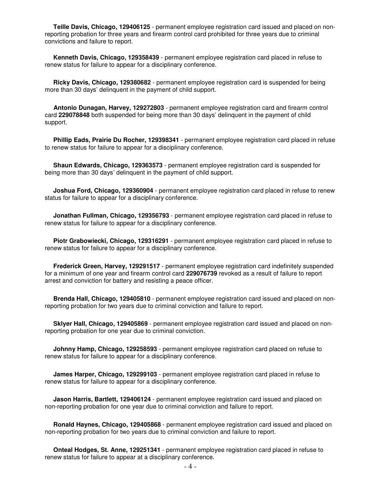**Teille Davis, Chicago, 129406125** - permanent employee registration card issued and placed on nonreporting probation for three years and firearm control card prohibited for three years due to criminal convictions and failure to report.

 **Kenneth Davis, Chicago, 129358439** - permanent employee registration card placed in refuse to renew status for failure to appear for a disciplinary conference.

 **Ricky Davis, Chicago, 129380682** - permanent employee registration card is suspended for being more than 30 days' delinquent in the payment of child support.

 **Antonio Dunagan, Harvey, 129272803** - permanent employee registration card and firearm control card **229078848** both suspended for being more than 30 days' delinquent in the payment of child support.

 **Phillip Eads, Prairie Du Rocher, 129398341** - permanent employee registration card placed in refuse to renew status for failure to appear for a disciplinary conference.

 **Shaun Edwards, Chicago, 129363573** - permanent employee registration card is suspended for being more than 30 days' delinquent in the payment of child support.

 **Joshua Ford, Chicago, 129360904** - permanent employee registration card placed in refuse to renew status for failure to appear for a disciplinary conference.

 **Jonathan Fullman, Chicago, 129356793** - permanent employee registration card placed in refuse to renew status for failure to appear for a disciplinary conference.

 **Piotr Grabowiecki, Chicago, 129316291** - permanent employee registration card placed in refuse to renew status for failure to appear for a disciplinary conference.

 **Frederick Green, Harvey, 129291517** - permanent employee registration card indefinitely suspended for a minimum of one year and firearm control card **229076739** revoked as a result of failure to report arrest and conviction for battery and resisting a peace officer.

 **Brenda Hall, Chicago, 129405810** - permanent employee registration card issued and placed on nonreporting probation for two years due to criminal conviction and failure to report.

 **Sklyer Hall, Chicago, 129405869** - permanent employee registration card issued and placed on nonreporting probation for one year due to criminal conviction.

 **Johnny Hamp, Chicago, 129258593** - permanent employee registration card placed on refuse to renew status for failure to appear for a disciplinary conference.

 **James Harper, Chicago, 129299103** - permanent employee registration card placed in refuse to renew status for failure to appear for a disciplinary conference.

 **Jason Harris, Bartlett, 129406124** - permanent employee registration card issued and placed on non-reporting probation for one year due to criminal conviction and failure to report.

 **Ronald Haynes, Chicago, 129405868** - permanent employee registration card issued and placed on non-reporting probation for two years due to criminal conviction and failure to report.

 **Onteal Hodges, St. Anne, 129251341** - permanent employee registration card placed in refuse to renew status for failure to appear at a disciplinary conference.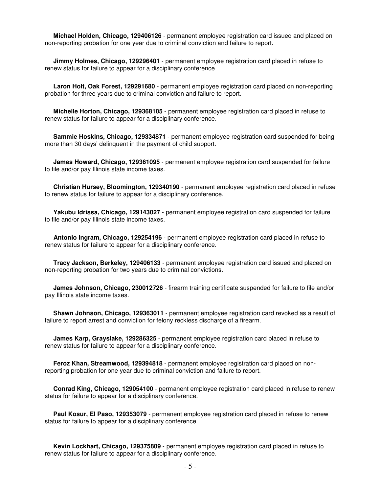**Michael Holden, Chicago, 129406126** - permanent employee registration card issued and placed on non-reporting probation for one year due to criminal conviction and failure to report.

 **Jimmy Holmes, Chicago, 129296401** - permanent employee registration card placed in refuse to renew status for failure to appear for a disciplinary conference.

 **Laron Holt, Oak Forest, 129291680** - permanent employee registration card placed on non-reporting probation for three years due to criminal conviction and failure to report.

 **Michelle Horton, Chicago, 129368105** - permanent employee registration card placed in refuse to renew status for failure to appear for a disciplinary conference.

 **Sammie Hoskins, Chicago, 129334871** - permanent employee registration card suspended for being more than 30 days' delinquent in the payment of child support.

 **James Howard, Chicago, 129361095** - permanent employee registration card suspended for failure to file and/or pay Illinois state income taxes.

 **Christian Hursey, Bloomington, 129340190** - permanent employee registration card placed in refuse to renew status for failure to appear for a disciplinary conference.

 **Yakubu Idrissa, Chicago, 129143027** - permanent employee registration card suspended for failure to file and/or pay Illinois state income taxes.

 **Antonio Ingram, Chicago, 129254196** - permanent employee registration card placed in refuse to renew status for failure to appear for a disciplinary conference.

 **Tracy Jackson, Berkeley, 129406133** - permanent employee registration card issued and placed on non-reporting probation for two years due to criminal convictions.

 **James Johnson, Chicago, 230012726** - firearm training certificate suspended for failure to file and/or pay Illinois state income taxes.

 **Shawn Johnson, Chicago, 129363011** - permanent employee registration card revoked as a result of failure to report arrest and conviction for felony reckless discharge of a firearm.

 **James Karp, Grayslake, 129286325** - permanent employee registration card placed in refuse to renew status for failure to appear for a disciplinary conference.

 **Feroz Khan, Streamwood, 129394818** - permanent employee registration card placed on nonreporting probation for one year due to criminal conviction and failure to report.

 **Conrad King, Chicago, 129054100** - permanent employee registration card placed in refuse to renew status for failure to appear for a disciplinary conference.

 **Paul Kosur, El Paso, 129353079** - permanent employee registration card placed in refuse to renew status for failure to appear for a disciplinary conference.

 **Kevin Lockhart, Chicago, 129375809** - permanent employee registration card placed in refuse to renew status for failure to appear for a disciplinary conference.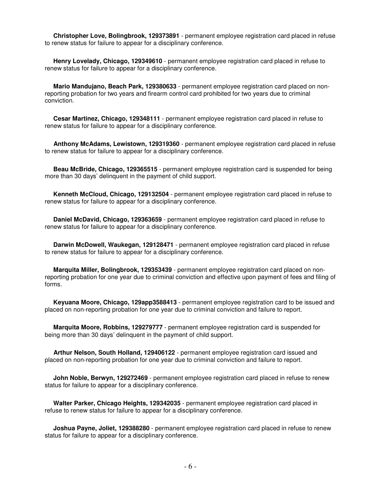**Christopher Love, Bolingbrook, 129373891** - permanent employee registration card placed in refuse to renew status for failure to appear for a disciplinary conference.

 **Henry Lovelady, Chicago, 129349610** - permanent employee registration card placed in refuse to renew status for failure to appear for a disciplinary conference.

 **Mario Mandujano, Beach Park, 129380633** - permanent employee registration card placed on nonreporting probation for two years and firearm control card prohibited for two years due to criminal conviction.

 **Cesar Martinez, Chicago, 129348111** - permanent employee registration card placed in refuse to renew status for failure to appear for a disciplinary conference.

 **Anthony McAdams, Lewistown, 129319360** - permanent employee registration card placed in refuse to renew status for failure to appear for a disciplinary conference.

 **Beau McBride, Chicago, 129365515** - permanent employee registration card is suspended for being more than 30 days' delinquent in the payment of child support.

 **Kenneth McCloud, Chicago, 129132504** - permanent employee registration card placed in refuse to renew status for failure to appear for a disciplinary conference.

 **Daniel McDavid, Chicago, 129363659** - permanent employee registration card placed in refuse to renew status for failure to appear for a disciplinary conference.

 **Darwin McDowell, Waukegan, 129128471** - permanent employee registration card placed in refuse to renew status for failure to appear for a disciplinary conference.

 **Marquita Miller, Bolingbrook, 129353439** - permanent employee registration card placed on nonreporting probation for one year due to criminal conviction and effective upon payment of fees and filing of forms.

 **Keyuana Moore, Chicago, 129app3588413** - permanent employee registration card to be issued and placed on non-reporting probation for one year due to criminal conviction and failure to report.

 **Marquita Moore, Robbins, 129279777** - permanent employee registration card is suspended for being more than 30 days' delinquent in the payment of child support.

 **Arthur Nelson, South Holland, 129406122** - permanent employee registration card issued and placed on non-reporting probation for one year due to criminal conviction and failure to report.

**John Noble, Berwyn, 129272469** - permanent employee registration card placed in refuse to renew status for failure to appear for a disciplinary conference.

 **Walter Parker, Chicago Heights, 129342035** - permanent employee registration card placed in refuse to renew status for failure to appear for a disciplinary conference.

 **Joshua Payne, Joliet, 129388280** - permanent employee registration card placed in refuse to renew status for failure to appear for a disciplinary conference.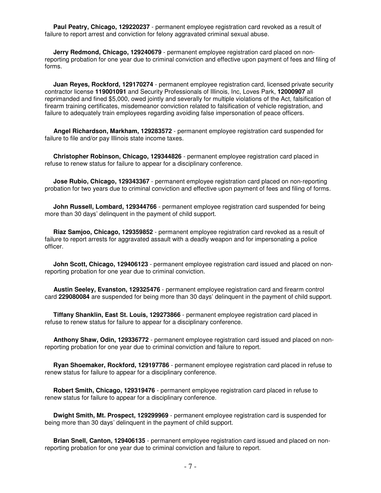**Paul Peatry, Chicago, 129220237** - permanent employee registration card revoked as a result of failure to report arrest and conviction for felony aggravated criminal sexual abuse.

 **Jerry Redmond, Chicago, 129240679** - permanent employee registration card placed on nonreporting probation for one year due to criminal conviction and effective upon payment of fees and filing of forms.

 **Juan Reyes, Rockford, 129170274** - permanent employee registration card, licensed private security contractor license **119001091** and Security Professionals of Illinois, Inc, Loves Park, **12000907** all reprimanded and fined \$5,000, owed jointly and severally for multiple violations of the Act, falsification of firearm training certificates, misdemeanor conviction related to falsification of vehicle registration, and failure to adequately train employees regarding avoiding false impersonation of peace officers.

 **Angel Richardson, Markham, 129283572** - permanent employee registration card suspended for failure to file and/or pay Illinois state income taxes.

 **Christopher Robinson, Chicago, 129344826** - permanent employee registration card placed in refuse to renew status for failure to appear for a disciplinary conference.

 **Jose Rubio, Chicago, 129343367** - permanent employee registration card placed on non-reporting probation for two years due to criminal conviction and effective upon payment of fees and filing of forms.

**John Russell, Lombard, 129344766** - permanent employee registration card suspended for being more than 30 days' delinquent in the payment of child support.

 **Riaz Samjoo, Chicago, 129359852** - permanent employee registration card revoked as a result of failure to report arrests for aggravated assault with a deadly weapon and for impersonating a police officer.

 **John Scott, Chicago, 129406123** - permanent employee registration card issued and placed on nonreporting probation for one year due to criminal conviction.

 **Austin Seeley, Evanston, 129325476** - permanent employee registration card and firearm control card **229080084** are suspended for being more than 30 days' delinquent in the payment of child support.

 **Tiffany Shanklin, East St. Louis, 129273866** - permanent employee registration card placed in refuse to renew status for failure to appear for a disciplinary conference.

 **Anthony Shaw, Odin, 129336772** - permanent employee registration card issued and placed on nonreporting probation for one year due to criminal conviction and failure to report.

 **Ryan Shoemaker, Rockford, 129197786** - permanent employee registration card placed in refuse to renew status for failure to appear for a disciplinary conference.

 **Robert Smith, Chicago, 129319476** - permanent employee registration card placed in refuse to renew status for failure to appear for a disciplinary conference.

 **Dwight Smith, Mt. Prospect, 129299969** - permanent employee registration card is suspended for being more than 30 days' delinquent in the payment of child support.

 **Brian Snell, Canton, 129406135** - permanent employee registration card issued and placed on nonreporting probation for one year due to criminal conviction and failure to report.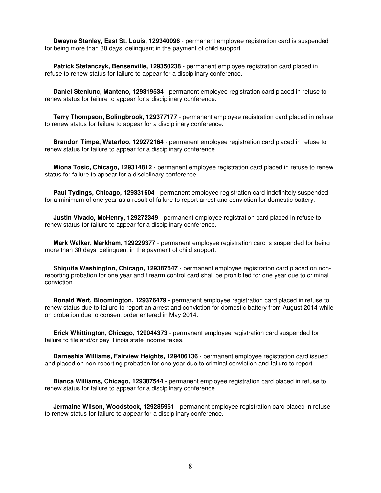**Dwayne Stanley, East St. Louis, 129340096** - permanent employee registration card is suspended for being more than 30 days' delinquent in the payment of child support.

 **Patrick Stefanczyk, Bensenville, 129350238** - permanent employee registration card placed in refuse to renew status for failure to appear for a disciplinary conference.

 **Daniel Stenlunc, Manteno, 129319534** - permanent employee registration card placed in refuse to renew status for failure to appear for a disciplinary conference.

 **Terry Thompson, Bolingbrook, 129377177** - permanent employee registration card placed in refuse to renew status for failure to appear for a disciplinary conference.

 **Brandon Timpe, Waterloo, 129272164** - permanent employee registration card placed in refuse to renew status for failure to appear for a disciplinary conference.

 **Miona Tosic, Chicago, 129314812** - permanent employee registration card placed in refuse to renew status for failure to appear for a disciplinary conference.

 **Paul Tydings, Chicago, 129331604** - permanent employee registration card indefinitely suspended for a minimum of one year as a result of failure to report arrest and conviction for domestic battery.

 **Justin Vivado, McHenry, 129272349** - permanent employee registration card placed in refuse to renew status for failure to appear for a disciplinary conference.

 **Mark Walker, Markham, 129229377** - permanent employee registration card is suspended for being more than 30 days' delinquent in the payment of child support.

 **Shiquita Washington, Chicago, 129387547** - permanent employee registration card placed on nonreporting probation for one year and firearm control card shall be prohibited for one year due to criminal conviction.

 **Ronald Wert, Bloomington, 129376479** - permanent employee registration card placed in refuse to renew status due to failure to report an arrest and conviction for domestic battery from August 2014 while on probation due to consent order entered in May 2014.

 **Erick Whittington, Chicago, 129044373** - permanent employee registration card suspended for failure to file and/or pay Illinois state income taxes.

 **Darneshia Williams, Fairview Heights, 129406136** - permanent employee registration card issued and placed on non-reporting probation for one year due to criminal conviction and failure to report.

 **Bianca Williams, Chicago, 129387544** - permanent employee registration card placed in refuse to renew status for failure to appear for a disciplinary conference.

 **Jermaine Wilson, Woodstock, 129285951** - permanent employee registration card placed in refuse to renew status for failure to appear for a disciplinary conference.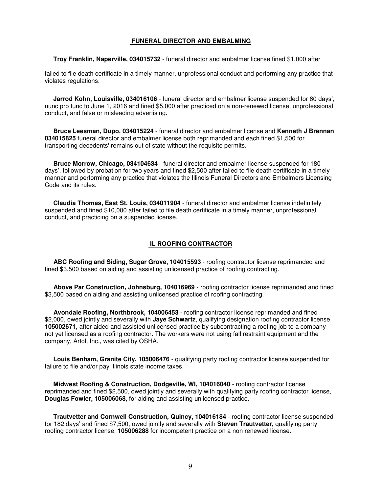### **FUNERAL DIRECTOR AND EMBALMING**

**Troy Franklin, Naperville, 034015732** - funeral director and embalmer license fined \$1,000 after

failed to file death certificate in a timely manner, unprofessional conduct and performing any practice that violates regulations.

 **Jarrod Kohn, Louisville, 034016106** - funeral director and embalmer license suspended for 60 days', nunc pro tunc to June 1, 2016 and fined \$5,000 after practiced on a non-renewed license, unprofessional conduct, and false or misleading advertising.

 **Bruce Leesman, Dupo, 034015224** - funeral director and embalmer license and **Kenneth J Brennan 034015825** funeral director and embalmer license both reprimanded and each fined \$1,500 for transporting decedents' remains out of state without the requisite permits.

 **Bruce Morrow, Chicago, 034104634** - funeral director and embalmer license suspended for 180 days', followed by probation for two years and fined \$2,500 after failed to file death certificate in a timely manner and performing any practice that violates the Illinois Funeral Directors and Embalmers Licensing Code and its rules.

 **Claudia Thomas, East St. Louis, 034011904** - funeral director and embalmer license indefinitely suspended and fined \$10,000 after failed to file death certificate in a timely manner, unprofessional conduct, and practicing on a suspended license.

## **IL ROOFING CONTRACTOR**

 **ABC Roofing and Siding, Sugar Grove, 104015593** - roofing contractor license reprimanded and fined \$3,500 based on aiding and assisting unlicensed practice of roofing contracting.

 **Above Par Construction, Johnsburg, 104016969** - roofing contractor license reprimanded and fined \$3,500 based on aiding and assisting unlicensed practice of roofing contracting.

 **Avondale Roofing, Northbrook, 104006453** - roofing contractor license reprimanded and fined \$2,000, owed jointly and severally with **Jaye Schwartz**, qualifying designation roofing contractor license **105002671**, after aided and assisted unlicensed practice by subcontracting a roofing job to a company not yet licensed as a roofing contractor. The workers were not using fall restraint equipment and the company, Artol, Inc., was cited by OSHA.

 **Louis Benham, Granite City, 105006476** - qualifying party roofing contractor license suspended for failure to file and/or pay Illinois state income taxes.

 **Midwest Roofing & Construction, Dodgeville, WI, 104016040** - roofing contractor license reprimanded and fined \$2,500, owed jointly and severally with qualifying party roofing contractor license, **Douglas Fowler, 105006068**, for aiding and assisting unlicensed practice.

 **Trautvetter and Cornwell Construction, Quincy, 104016184** - roofing contractor license suspended for 182 days' and fined \$7,500, owed jointly and severally with **Steven Trautvetter,** qualifying party roofing contractor license, **105006288** for incompetent practice on a non renewed license.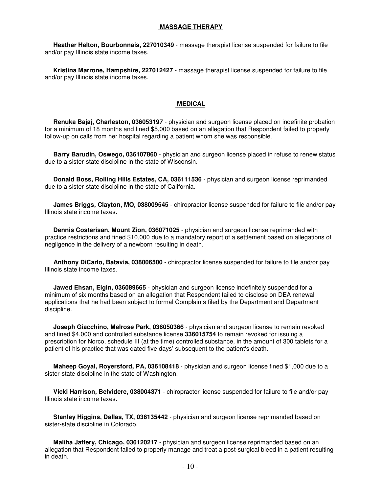#### **MASSAGE THERAPY**

 **Heather Helton, Bourbonnais, 227010349** - massage therapist license suspended for failure to file and/or pay Illinois state income taxes.

 **Kristina Marrone, Hampshire, 227012427** - massage therapist license suspended for failure to file and/or pay Illinois state income taxes.

#### **MEDICAL**

 **Renuka Bajaj, Charleston, 036053197** - physician and surgeon license placed on indefinite probation for a minimum of 18 months and fined \$5,000 based on an allegation that Respondent failed to properly follow-up on calls from her hospital regarding a patient whom she was responsible.

 **Barry Barudin, Oswego, 036107860** - physician and surgeon license placed in refuse to renew status due to a sister-state discipline in the state of Wisconsin.

 **Donald Boss, Rolling Hills Estates, CA, 036111536** - physician and surgeon license reprimanded due to a sister-state discipline in the state of California.

 **James Briggs, Clayton, MO, 038009545** - chiropractor license suspended for failure to file and/or pay Illinois state income taxes.

 **Dennis Costerisan, Mount Zion, 036071025** - physician and surgeon license reprimanded with practice restrictions and fined \$10,000 due to a mandatory report of a settlement based on allegations of negligence in the delivery of a newborn resulting in death.

 **Anthony DiCarlo, Batavia, 038006500** - chiropractor license suspended for failure to file and/or pay Illinois state income taxes.

 **Jawed Ehsan, Elgin, 036089665** - physician and surgeon license indefinitely suspended for a minimum of six months based on an allegation that Respondent failed to disclose on DEA renewal applications that he had been subject to formal Complaints filed by the Department and Department discipline.

 **Joseph Giacchino, Melrose Park, 036050366** - physician and surgeon license to remain revoked and fined \$4,000 and controlled substance license **336015754** to remain revoked for issuing a prescription for Norco, schedule III (at the time) controlled substance, in the amount of 300 tablets for a patient of his practice that was dated five days' subsequent to the patient's death.

 **Maheep Goyal, Royersford, PA, 036108418** - physician and surgeon license fined \$1,000 due to a sister-state discipline in the state of Washington.

 **Vicki Harrison, Belvidere, 038004371** - chiropractor license suspended for failure to file and/or pay Illinois state income taxes.

 **Stanley Higgins, Dallas, TX, 036135442** - physician and surgeon license reprimanded based on sister-state discipline in Colorado.

 **Maliha Jaffery, Chicago, 036120217** - physician and surgeon license reprimanded based on an allegation that Respondent failed to properly manage and treat a post-surgical bleed in a patient resulting in death.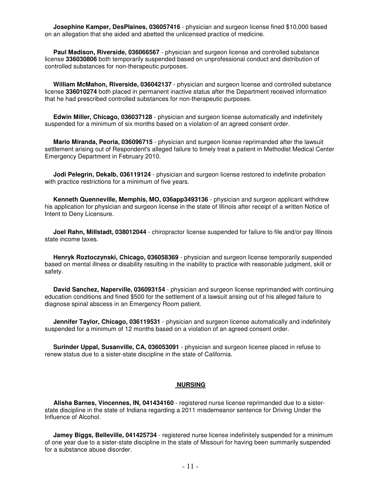**Josephine Kamper, DesPlaines, 036057416** - physician and surgeon license fined \$10,000 based on an allegation that she aided and abetted the unlicensed practice of medicine.

 **Paul Madison, Riverside, 036066567** - physician and surgeon license and controlled substance license **336030806** both temporarily suspended based on unprofessional conduct and distribution of controlled substances for non-therapeutic purposes.

 **William McMahon, Riverside, 036042137** - physician and surgeon license and controlled substance license **336010274** both placed in permanent inactive status after the Department received information that he had prescribed controlled substances for non-therapeutic purposes.

 **Edwin Miller, Chicago, 036037128** - physician and surgeon license automatically and indefinitely suspended for a minimum of six months based on a violation of an agreed consent order.

 **Mario Miranda, Peoria, 036096715** - physician and surgeon license reprimanded after the lawsuit settlement arising out of Respondent's alleged failure to timely treat a patient in Methodist Medical Center Emergency Department in February 2010.

 **Jodi Pelegrin, Dekalb, 036119124** - physician and surgeon license restored to indefinite probation with practice restrictions for a minimum of five years.

 **Kenneth Quenneville, Memphis, MO, 036app3493136** - physician and surgeon applicant withdrew his application for physician and surgeon license in the state of Illinois after receipt of a written Notice of Intent to Deny Licensure.

 **Joel Rahn, Millstadt, 038012044** - chiropractor license suspended for failure to file and/or pay Illinois state income taxes.

 **Henryk Roztoczynski, Chicago, 036058369** - physician and surgeon license temporarily suspended based on mental illness or disability resulting in the inability to practice with reasonable judgment, skill or safety.

 **David Sanchez, Naperville, 036093154** - physician and surgeon license reprimanded with continuing education conditions and fined \$500 for the settlement of a lawsuit arising out of his alleged failure to diagnose spinal abscess in an Emergency Room patient.

 **Jennifer Taylor, Chicago, 036119531** - physician and surgeon license automatically and indefinitely suspended for a minimum of 12 months based on a violation of an agreed consent order.

 **Surinder Uppal, Susanville, CA, 036053091** - physician and surgeon license placed in refuse to renew status due to a sister-state discipline in the state of California.

#### **NURSING**

 **Alisha Barnes, Vincennes, IN, 041434160** - registered nurse license reprimanded due to a sisterstate discipline in the state of Indiana regarding a 2011 misdemeanor sentence for Driving Under the Influence of Alcohol.

 **Jamey Biggs, Belleville, 041425734** - registered nurse license indefinitely suspended for a minimum of one year due to a sister-state discipline in the state of Missouri for having been summarily suspended for a substance abuse disorder.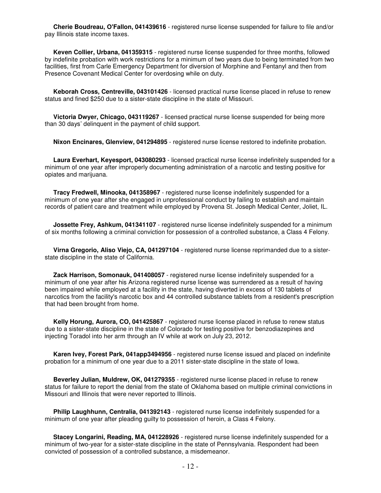**Cherie Boudreau, O'Fallon, 041439616** - registered nurse license suspended for failure to file and/or pay Illinois state income taxes.

 **Keven Collier, Urbana, 041359315** - registered nurse license suspended for three months, followed by indefinite probation with work restrictions for a minimum of two years due to being terminated from two facilities, first from Carle Emergency Department for diversion of Morphine and Fentanyl and then from Presence Covenant Medical Center for overdosing while on duty.

 **Keborah Cross, Centreville, 043101426** - licensed practical nurse license placed in refuse to renew status and fined \$250 due to a sister-state discipline in the state of Missouri.

 **Victoria Dwyer, Chicago, 043119267** - licensed practical nurse license suspended for being more than 30 days' delinquent in the payment of child support.

**Nixon Encinares, Glenview, 041294895** - registered nurse license restored to indefinite probation.

 **Laura Everhart, Keyesport, 043080293** - licensed practical nurse license indefinitely suspended for a minimum of one year after improperly documenting administration of a narcotic and testing positive for opiates and marijuana.

 **Tracy Fredwell, Minooka, 041358967** - registered nurse license indefinitely suspended for a minimum of one year after she engaged in unprofessional conduct by failing to establish and maintain records of patient care and treatment while employed by Provena St. Joseph Medical Center, Joliet, IL.

 **Jossette Frey, Ashkum, 041341107** - registered nurse license indefinitely suspended for a minimum of six months following a criminal conviction for possession of a controlled substance, a Class 4 Felony.

 **Virna Gregorio, Aliso Viejo, CA, 041297104** - registered nurse license reprimanded due to a sisterstate discipline in the state of California.

 **Zack Harrison, Somonauk, 041408057** - registered nurse license indefinitely suspended for a minimum of one year after his Arizona registered nurse license was surrendered as a result of having been impaired while employed at a facility in the state, having diverted in excess of 130 tablets of narcotics from the facility's narcotic box and 44 controlled substance tablets from a resident's prescription that had been brought from home.

 **Kelly Horung, Aurora, CO, 041425867** - registered nurse license placed in refuse to renew status due to a sister-state discipline in the state of Colorado for testing positive for benzodiazepines and injecting Toradol into her arm through an IV while at work on July 23, 2012.

 **Karen Ivey, Forest Park, 041app3494956** - registered nurse license issued and placed on indefinite probation for a minimum of one year due to a 2011 sister-state discipline in the state of Iowa.

 **Beverley Julian, Muldrew, OK, 041279355** - registered nurse license placed in refuse to renew status for failure to report the denial from the state of Oklahoma based on multiple criminal convictions in Missouri and Illinois that were never reported to Illinois.

 **Philip Laughhunn, Centralia, 041392143** - registered nurse license indefinitely suspended for a minimum of one year after pleading guilty to possession of heroin, a Class 4 Felony.

 **Stacey Longarini, Reading, MA, 041228926** - registered nurse license indefinitely suspended for a minimum of two-year for a sister-state discipline in the state of Pennsylvania. Respondent had been convicted of possession of a controlled substance, a misdemeanor.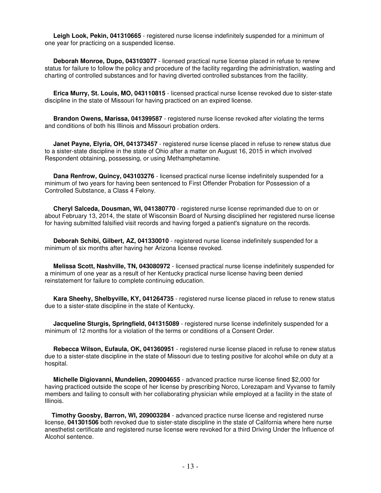**Leigh Look, Pekin, 041310665** - registered nurse license indefinitely suspended for a minimum of one year for practicing on a suspended license.

 **Deborah Monroe, Dupo, 043103077** - licensed practical nurse license placed in refuse to renew status for failure to follow the policy and procedure of the facility regarding the administration, wasting and charting of controlled substances and for having diverted controlled substances from the facility.

 **Erica Murry, St. Louis, MO, 043110815** - licensed practical nurse license revoked due to sister-state discipline in the state of Missouri for having practiced on an expired license.

 **Brandon Owens, Marissa, 041399587** - registered nurse license revoked after violating the terms and conditions of both his Illinois and Missouri probation orders.

 **Janet Payne, Elyria, OH, 041373457** - registered nurse license placed in refuse to renew status due to a sister-state discipline in the state of Ohio after a matter on August 16, 2015 in which involved Respondent obtaining, possessing, or using Methamphetamine.

 **Dana Renfrow, Quincy, 043103276** - licensed practical nurse license indefinitely suspended for a minimum of two years for having been sentenced to First Offender Probation for Possession of a Controlled Substance, a Class 4 Felony.

 **Cheryl Salceda, Dousman, WI, 041380770** - registered nurse license reprimanded due to on or about February 13, 2014, the state of Wisconsin Board of Nursing disciplined her registered nurse license for having submitted falsified visit records and having forged a patient's signature on the records.

 **Deborah Schibi, Gilbert, AZ, 041330010** - registered nurse license indefinitely suspended for a minimum of six months after having her Arizona license revoked.

 **Melissa Scott, Nashville, TN, 043080972** - licensed practical nurse license indefinitely suspended for a minimum of one year as a result of her Kentucky practical nurse license having been denied reinstatement for failure to complete continuing education.

 **Kara Sheehy, Shelbyville, KY, 041264735** - registered nurse license placed in refuse to renew status due to a sister-state discipline in the state of Kentucky.

 **Jacqueline Sturgis, Springfield, 041315089** - registered nurse license indefinitely suspended for a minimum of 12 months for a violation of the terms or conditions of a Consent Order.

 **Rebecca Wilson, Eufaula, OK, 041360951** - registered nurse license placed in refuse to renew status due to a sister-state discipline in the state of Missouri due to testing positive for alcohol while on duty at a hospital.

 **Michelle Digiovanni, Mundelien, 209004655** - advanced practice nurse license fined \$2,000 for having practiced outside the scope of her license by prescribing Norco, Lorezapam and Vyvanse to family members and failing to consult with her collaborating physician while employed at a facility in the state of Illinois.

 **Timothy Goosby, Barron, WI, 209003284** - advanced practice nurse license and registered nurse license, **041301506** both revoked due to sister-state discipline in the state of California where here nurse anesthetist certificate and registered nurse license were revoked for a third Driving Under the Influence of Alcohol sentence.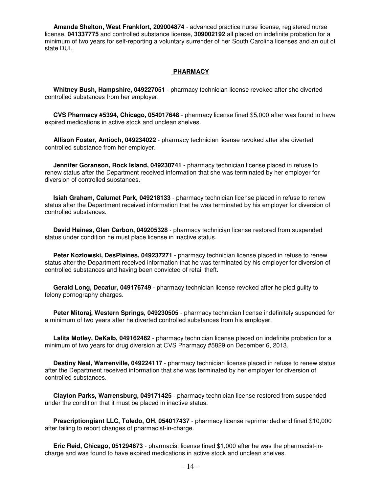**Amanda Shelton, West Frankfort, 209004874** - advanced practice nurse license, registered nurse license, **041337775** and controlled substance license, **309002192** all placed on indefinite probation for a minimum of two years for self-reporting a voluntary surrender of her South Carolina licenses and an out of state DUI.

### **PHARMACY**

 **Whitney Bush, Hampshire, 049227051** - pharmacy technician license revoked after she diverted controlled substances from her employer.

 **CVS Pharmacy #5394, Chicago, 054017648** - pharmacy license fined \$5,000 after was found to have expired medications in active stock and unclean shelves.

 **Allison Foster, Antioch, 049234022** - pharmacy technician license revoked after she diverted controlled substance from her employer.

 **Jennifer Goranson, Rock Island, 049230741** - pharmacy technician license placed in refuse to renew status after the Department received information that she was terminated by her employer for diversion of controlled substances.

 **Isiah Graham, Calumet Park, 049218133** - pharmacy technician license placed in refuse to renew status after the Department received information that he was terminated by his employer for diversion of controlled substances.

 **David Haines, Glen Carbon, 049205328** - pharmacy technician license restored from suspended status under condition he must place license in inactive status.

 **Peter Kozlowski, DesPlaines, 049237271** - pharmacy technician license placed in refuse to renew status after the Department received information that he was terminated by his employer for diversion of controlled substances and having been convicted of retail theft.

 **Gerald Long, Decatur, 049176749** - pharmacy technician license revoked after he pled guilty to felony pornography charges.

 **Peter Mitoraj, Western Springs, 049230505** - pharmacy technician license indefinitely suspended for a minimum of two years after he diverted controlled substances from his employer.

 **Lalita Motley, DeKalb, 049162462** - pharmacy technician license placed on indefinite probation for a minimum of two years for drug diversion at CVS Pharmacy #5829 on December 6, 2013.

 **Destiny Neal, Warrenville, 049224117** - pharmacy technician license placed in refuse to renew status after the Department received information that she was terminated by her employer for diversion of controlled substances.

 **Clayton Parks, Warrensburg, 049171425** - pharmacy technician license restored from suspended under the condition that it must be placed in inactive status.

 **Prescriptiongiant LLC, Toledo, OH, 054017437** - pharmacy license reprimanded and fined \$10,000 after failing to report changes of pharmacist-in-charge.

 **Eric Reid, Chicago, 051294673** - pharmacist license fined \$1,000 after he was the pharmacist-incharge and was found to have expired medications in active stock and unclean shelves.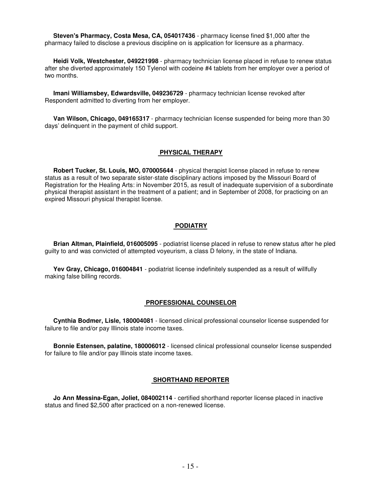**Steven's Pharmacy, Costa Mesa, CA, 054017436** - pharmacy license fined \$1,000 after the pharmacy failed to disclose a previous discipline on is application for licensure as a pharmacy.

 **Heidi Volk, Westchester, 049221998** - pharmacy technician license placed in refuse to renew status after she diverted approximately 150 Tylenol with codeine #4 tablets from her employer over a period of two months.

 **Imani Williamsbey, Edwardsville, 049236729** - pharmacy technician license revoked after Respondent admitted to diverting from her employer.

 **Van Wilson, Chicago, 049165317** - pharmacy technician license suspended for being more than 30 days' delinquent in the payment of child support.

#### **PHYSICAL THERAPY**

 **Robert Tucker, St. Louis, MO, 070005644** - physical therapist license placed in refuse to renew status as a result of two separate sister-state disciplinary actions imposed by the Missouri Board of Registration for the Healing Arts: in November 2015, as result of inadequate supervision of a subordinate physical therapist assistant in the treatment of a patient; and in September of 2008, for practicing on an expired Missouri physical therapist license.

#### **PODIATRY**

 **Brian Altman, Plainfield, 016005095** - podiatrist license placed in refuse to renew status after he pled guilty to and was convicted of attempted voyeurism, a class D felony, in the state of Indiana.

 **Yev Gray, Chicago, 016004841** - podiatrist license indefinitely suspended as a result of willfully making false billing records.

#### **PROFESSIONAL COUNSELOR**

 **Cynthia Bodmer, Lisle, 180004081** - licensed clinical professional counselor license suspended for failure to file and/or pay Illinois state income taxes.

 **Bonnie Estensen, palatine, 180006012** - licensed clinical professional counselor license suspended for failure to file and/or pay Illinois state income taxes.

#### **SHORTHAND REPORTER**

 **Jo Ann Messina-Egan, Joliet, 084002114** - certified shorthand reporter license placed in inactive status and fined \$2,500 after practiced on a non-renewed license.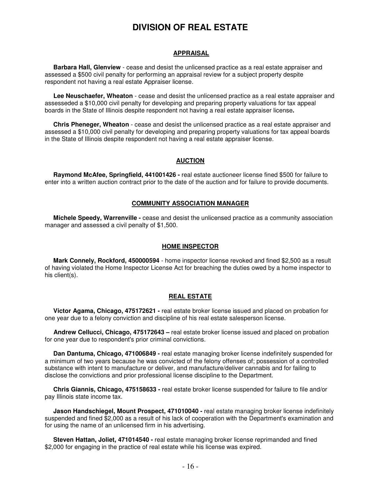# **DIVISION OF REAL ESTATE**

# **APPRAISAL**

 **Barbara Hall, Glenview** - cease and desist the unlicensed practice as a real estate appraiser and assessed a \$500 civil penalty for performing an appraisal review for a subject property despite respondent not having a real estate Appraiser license.

 **Lee Neuschaefer, Wheaton** - cease and desist the unlicensed practice as a real estate appraiser and assesseded a \$10,000 civil penalty for developing and preparing property valuations for tax appeal boards in the State of Illinois despite respondent not having a real estate appraiser license**.** 

 **Chris Pheneger, Wheaton** - cease and desist the unlicensed practice as a real estate appraiser and assessed a \$10,000 civil penalty for developing and preparing property valuations for tax appeal boards in the State of Illinois despite respondent not having a real estate appraiser license.

# **AUCTION**

 **Raymond McAfee, Springfield, 441001426 -** real estate auctioneer license fined \$500 for failure to enter into a written auction contract prior to the date of the auction and for failure to provide documents.

#### **COMMUNITY ASSOCIATION MANAGER**

 **Michele Speedy, Warrenville -** cease and desist the unlicensed practice as a community association manager and assessed a civil penalty of \$1,500.

#### **HOME INSPECTOR**

 **Mark Connely, Rockford, 450000594** - home inspector license revoked and fined \$2,500 as a result of having violated the Home Inspector License Act for breaching the duties owed by a home inspector to his client(s).

#### **REAL ESTATE**

 **Victor Agama, Chicago, 475172621 -** real estate broker license issued and placed on probation for one year due to a felony conviction and discipline of his real estate salesperson license.

 **Andrew Cellucci, Chicago, 475172643 –** real estate broker license issued and placed on probation for one year due to respondent's prior criminal convictions.

 **Dan Dantuma, Chicago, 471006849 -** real estate managing broker license indefinitely suspended for a minimum of two years because he was convicted of the felony offenses of; possession of a controlled substance with intent to manufacture or deliver, and manufacture/deliver cannabis and for failing to disclose the convictions and prior professional license discipline to the Department.

 **Chris Giannis, Chicago, 475158633 -** real estate broker license suspended for failure to file and/or pay Illinois state income tax.

 **Jason Handschiegel, Mount Prospect, 471010040 -** real estate managing broker license indefinitely suspended and fined \$2,000 as a result of his lack of cooperation with the Department's examination and for using the name of an unlicensed firm in his advertising.

 **Steven Hattan, Joliet, 471014540 -** real estate managing broker license reprimanded and fined \$2,000 for engaging in the practice of real estate while his license was expired.